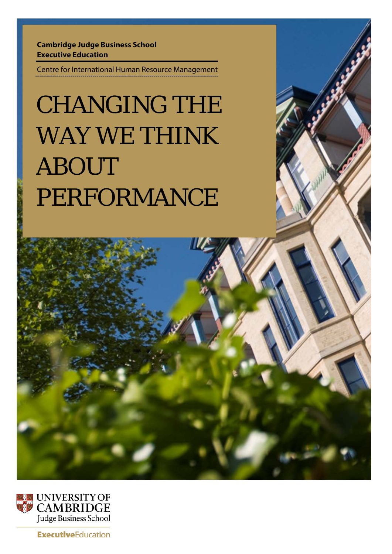**Cambridge Judge Business School Executive Education**

Centre for International Human Resource Management

# CHANGING THE WAY WE THINK ABOUT PERFORMANCE





**ExecutiveEducation**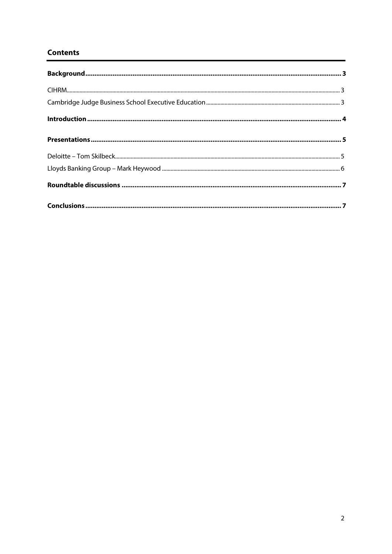# **Contents**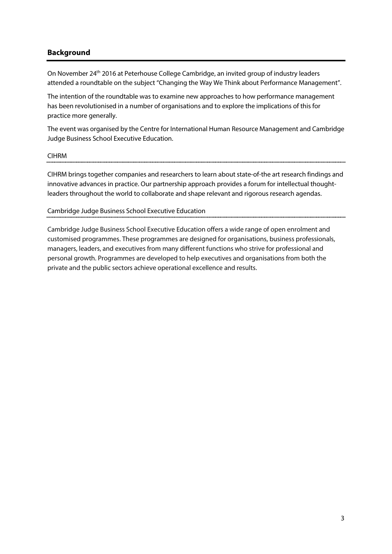# <span id="page-2-0"></span>**Background**

On November 24th 2016 at Peterhouse College Cambridge, an invited group of industry leaders attended a roundtable on the subject "Changing the Way We Think about Performance Management".

The intention of the roundtable was to examine new approaches to how performance management has been revolutionised in a number of organisations and to explore the implications of this for practice more generally.

The event was organised by the Centre for International Human Resource Management and Cambridge Judge Business School Executive Education.

## <span id="page-2-1"></span>CIHRM

CIHRM brings together companies and researchers to learn about state-of-the art research findings and

innovative advances in practice. Our partnership approach provides a forum for intellectual thoughtleaders throughout the world to collaborate and shape relevant and rigorous research agendas.

<span id="page-2-2"></span>Cambridge Judge Business School Executive Education

Cambridge Judge Business School Executive Education offers a wide range of open enrolment and customised programmes. These programmes are designed for organisations, business professionals, managers, leaders, and executives from many different functions who strive for professional and personal growth. Programmes are developed to help executives and organisations from both the private and the public sectors achieve operational excellence and results.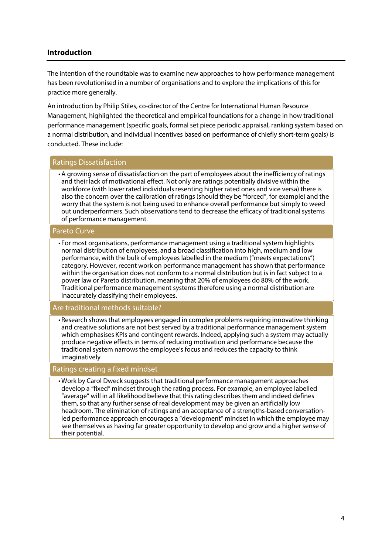## <span id="page-3-0"></span>**Introduction**

The intention of the roundtable was to examine new approaches to how performance management has been revolutionised in a number of organisations and to explore the implications of this for practice more generally.

An introduction by Philip Stiles, co-director of the Centre for International Human Resource Management, highlighted the theoretical and empirical foundations for a change in how traditional performance management (specific goals, formal set piece periodic appraisal, ranking system based on a normal distribution, and individual incentives based on performance of chiefly short-term goals) is conducted. These include:

## Ratings Dissatisfaction

•A growing sense of dissatisfaction on the part of employees about the inefficiency of ratings and their lack of motivational effect. Not only are ratings potentially divisive within the workforce (with lower rated individuals resenting higher rated ones and vice versa) there is also the concern over the calibration of ratings (should they be "forced", for example) and the worry that the system is not being used to enhance overall performance but simply to weed out underperformers. Such observations tend to decrease the efficacy of traditional systems of performance management.

#### Pareto Curve

• For most organisations, performance management using a traditional system highlights normal distribution of employees, and a broad classification into high, medium and low performance, with the bulk of employees labelled in the medium ("meets expectations") category. However, recent work on performance management has shown that performance within the organisation does not conform to a normal distribution but is in fact subject to a power law or Pareto distribution, meaning that 20% of employees do 80% of the work. Traditional performance management systems therefore using a normal distribution are inaccurately classifying their employees.

## Are traditional methods suitable?

• Research shows that employees engaged in complex problems requiring innovative thinking and creative solutions are not best served by a traditional performance management system which emphasises KPIs and contingent rewards. Indeed, applying such a system may actually produce negative effects in terms of reducing motivation and performance because the traditional system narrows the employee's focus and reduces the capacity to think imaginatively

## Ratings creating a fixed mindset

• Work by Carol Dweck suggests that traditional performance management approaches develop a "fixed" mindset through the rating process. For example, an employee labelled "average" will in all likelihood believe that this rating describes them and indeed defines them, so that any further sense of real development may be given an artificially low headroom. The elimination of ratings and an acceptance of a strengths-based conversationled performance approach encourages a "development" mindset in which the employee may see themselves as having far greater opportunity to develop and grow and a higher sense of their potential.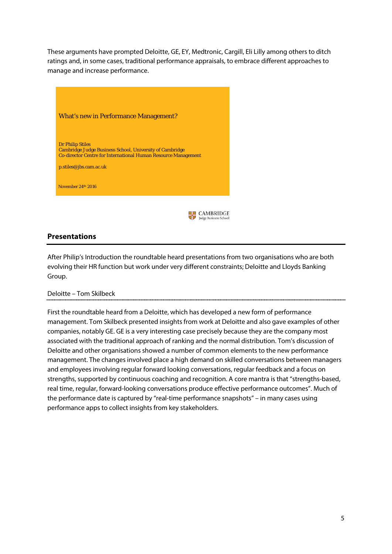These arguments have prompted Deloitte, GE, EY, Medtronic, Cargill, Eli Lilly among others to ditch ratings and, in some cases, traditional performance appraisals, to embrace different approaches to manage and increase performance.



# <span id="page-4-0"></span>**Presentations**

After Philip's Introduction the roundtable heard presentations from two organisations who are both evolving their HR function but work under very different constraints; Deloitte and Lloyds Banking Group.

## <span id="page-4-1"></span>Deloitte – Tom Skilbeck

First the roundtable heard from a Deloitte, which has developed a new form of performance management. Tom Skilbeck presented insights from work at Deloitte and also gave examples of other companies, notably GE. GE is a very interesting case precisely because they are the company most associated with the traditional approach of ranking and the normal distribution. Tom's discussion of Deloitte and other organisations showed a number of common elements to the new performance management. The changes involved place a high demand on skilled conversations between managers and employees involving regular forward looking conversations, regular feedback and a focus on strengths, supported by continuous coaching and recognition. A core mantra is that "strengths-based, real time, regular, forward-looking conversations produce effective performance outcomes". Much of the performance date is captured by "real-time performance snapshots" – in many cases using performance apps to collect insights from key stakeholders.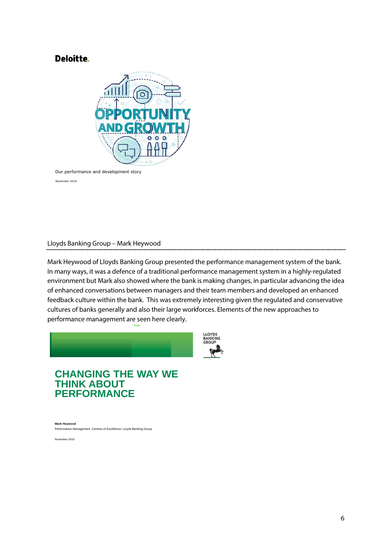# Deloitte.



Our performance and development story

November 2016

## <span id="page-5-0"></span>Lloyds Banking Group – Mark Heywood

Mark Heywood of Lloyds Banking Group presented the performance management system of the bank. In many ways, it was a defence of a traditional performance management system in a highly-regulated environment but Mark also showed where the bank is making changes, in particular advancing the idea of enhanced conversations between managers and their team members and developed an enhanced feedback culture within the bank. This was extremely interesting given the regulated and conservative cultures of banks generally and also their large workforces. Elements of the new approaches to performance management are seen here clearly.



**Public**

# **CHANGING THE WAY WE THINK ABOUT PERFORMANCE**

**Mark Heywood** Performance Management, Centres of Excellence, Lloyds Banking Group

November 2016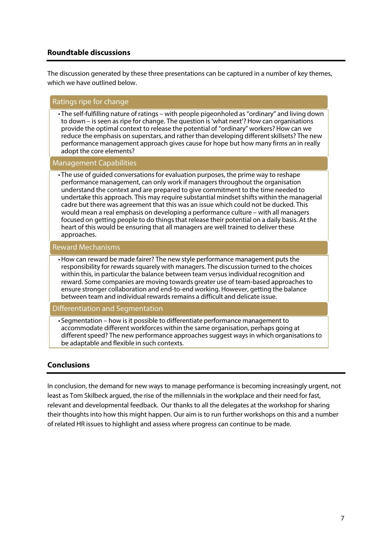# <span id="page-6-0"></span>**Roundtable discussions**

The discussion generated by these three presentations can be captured in a number of key themes, which we have outlined below.

## Ratings ripe for change

• The self-fulfilling nature of ratings – with people pigeonholed as "ordinary" and living down to down – is seen as ripe for change. The question is 'what next'? How can organisations provide the optimal context to release the potential of "ordinary" workers? How can we reduce the emphasis on superstars, and rather than developing different skillsets? The new performance management approach gives cause for hope but how many firms an in really adopt the core elements?

## Management Capabilities

• The use of guided conversations for evaluation purposes, the prime way to reshape performance management, can only work if managers throughout the organisation understand the context and are prepared to give commitment to the time needed to undertake this approach. This may require substantial mindset shifts within the managerial cadre but there was agreement that this was an issue which could not be ducked. This would mean a real emphasis on developing a performance culture – with all managers focused on getting people to do things that release their potential on a daily basis. At the heart of this would be ensuring that all managers are well trained to deliver these approaches.

#### Reward Mechanisms

•How can reward be made fairer? The new style performance management puts the responsibility for rewards squarely with managers. The discussion turned to the choices within this, in particular the balance between team versus individual recognition and reward. Some companies are moving towards greater use of team-based approaches to ensure stronger collaboration and end-to-end working. However, getting the balance between team and individual rewards remains a difficult and delicate issue.

## Differentiation and Segmentation

• Segmentation – how is it possible to differentiate performance management to accommodate different workforces within the same organisation, perhaps going at different speed? The new performance approaches suggest ways in which organisations to be adaptable and flexible in such contexts.

## <span id="page-6-1"></span>**Conclusions**

In conclusion, the demand for new ways to manage performance is becoming increasingly urgent, not least as Tom Skilbeck argued, the rise of the millennials in the workplace and their need for fast, relevant and developmental feedback. Our thanks to all the delegates at the workshop for sharing their thoughts into how this might happen. Our aim is to run further workshops on this and a number of related HR issues to highlight and assess where progress can continue to be made.